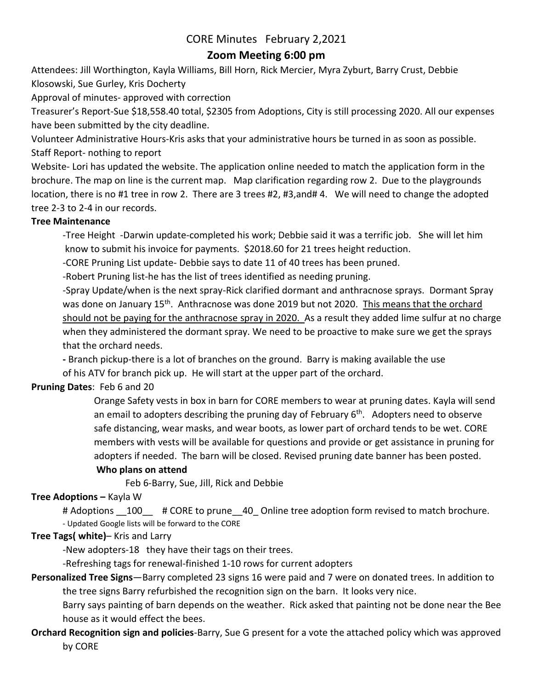# **Zoom Meeting 6:00 pm**

Attendees: Jill Worthington, Kayla Williams, Bill Horn, Rick Mercier, Myra Zyburt, Barry Crust, Debbie Klosowski, Sue Gurley, Kris Docherty

Approval of minutes- approved with correction

Treasurer's Report-Sue \$18,558.40 total, \$2305 from Adoptions, City is still processing 2020. All our expenses have been submitted by the city deadline.

Volunteer Administrative Hours-Kris asks that your administrative hours be turned in as soon as possible. Staff Report- nothing to report

Website- Lori has updated the website. The application online needed to match the application form in the brochure. The map on line is the current map. Map clarification regarding row 2. Due to the playgrounds location, there is no #1 tree in row 2. There are 3 trees #2, #3,and# 4. We will need to change the adopted tree 2-3 to 2-4 in our records.

### **Tree Maintenance**

-Tree Height -Darwin update-completed his work; Debbie said it was a terrific job. She will let him know to submit his invoice for payments. \$2018.60 for 21 trees height reduction.

-CORE Pruning List update- Debbie says to date 11 of 40 trees has been pruned.

-Robert Pruning list-he has the list of trees identified as needing pruning.

-Spray Update/when is the next spray-Rick clarified dormant and anthracnose sprays. Dormant Spray was done on January 15<sup>th</sup>. Anthracnose was done 2019 but not 2020. This means that the orchard should not be paying for the anthracnose spray in 2020. As a result they added lime sulfur at no charge when they administered the dormant spray. We need to be proactive to make sure we get the sprays that the orchard needs.

**-** Branch pickup-there is a lot of branches on the ground. Barry is making available the use of his ATV for branch pick up. He will start at the upper part of the orchard.

### **Pruning Dates**: Feb 6 and 20

Orange Safety vests in box in barn for CORE members to wear at pruning dates. Kayla will send an email to adopters describing the pruning day of February 6<sup>th</sup>. Adopters need to observe safe distancing, wear masks, and wear boots, as lower part of orchard tends to be wet. CORE members with vests will be available for questions and provide or get assistance in pruning for adopters if needed. The barn will be closed. Revised pruning date banner has been posted.

### **Who plans on attend**

Feb 6-Barry, Sue, Jill, Rick and Debbie

### **Tree Adoptions – Kayla W**

# Adoptions  $100$  # CORE to prune 40 Online tree adoption form revised to match brochure. - Updated Google lists will be forward to the CORE

### **Tree Tags( white)**– Kris and Larry

-New adopters-18 they have their tags on their trees.

-Refreshing tags for renewal-finished 1-10 rows for current adopters

## **Personalized Tree Signs**—Barry completed 23 signs 16 were paid and 7 were on donated trees. In addition to the tree signs Barry refurbished the recognition sign on the barn. It looks very nice.

Barry says painting of barn depends on the weather. Rick asked that painting not be done near the Bee house as it would effect the bees.

## **Orchard Recognition sign and policies**-Barry, Sue G present for a vote the attached policy which was approved by CORE